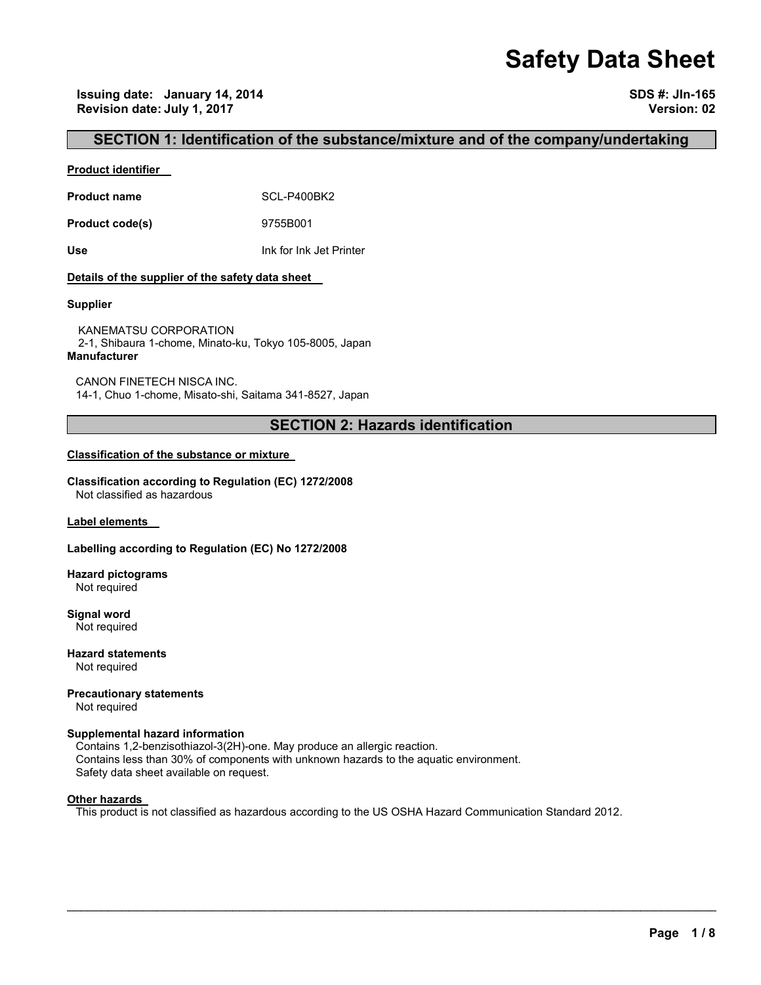# **Safety Data Sheet**

**Issuing date: January 14, 2014 SDS #: JIn-165 Revision date: July 1, 2017 Version: 02** 

# **SECTION 1: Identification of the substance/mixture and of the company/undertaking**

### **Product identifier**

Product name **SCL-P400BK2** 

**Product code(s)** 9755B001

**Use** Ink for Ink Jet Printer

### **Details of the supplier of the safety data sheet**

### **Supplier**

KANEMATSU CORPORATION 2-1, Shibaura 1-chome, Minato-ku, Tokyo 105-8005, Japan **Manufacturer**

CANON FINETECH NISCA INC. 14-1, Chuo 1-chome, Misato-shi, Saitama 341-8527, Japan

# **SECTION 2: Hazards identification**

### **Classification of the substance or mixture**

**Classification according to Regulation (EC) 1272/2008** Not classified as hazardous

**Label elements** 

#### **Labelling according to Regulation (EC) No 1272/2008**

**Hazard pictograms** Not required

**Signal word** Not required

**Hazard statements** Not required

**Precautionary statements** 

Not required

### **Supplemental hazard information**

Contains 1,2-benzisothiazol-3(2H)-one. May produce an allergic reaction. Contains less than 30% of components with unknown hazards to the aquatic environment. Safety data sheet available on request.

#### **Other hazards**

This product is not classified as hazardous according to the US OSHA Hazard Communication Standard 2012.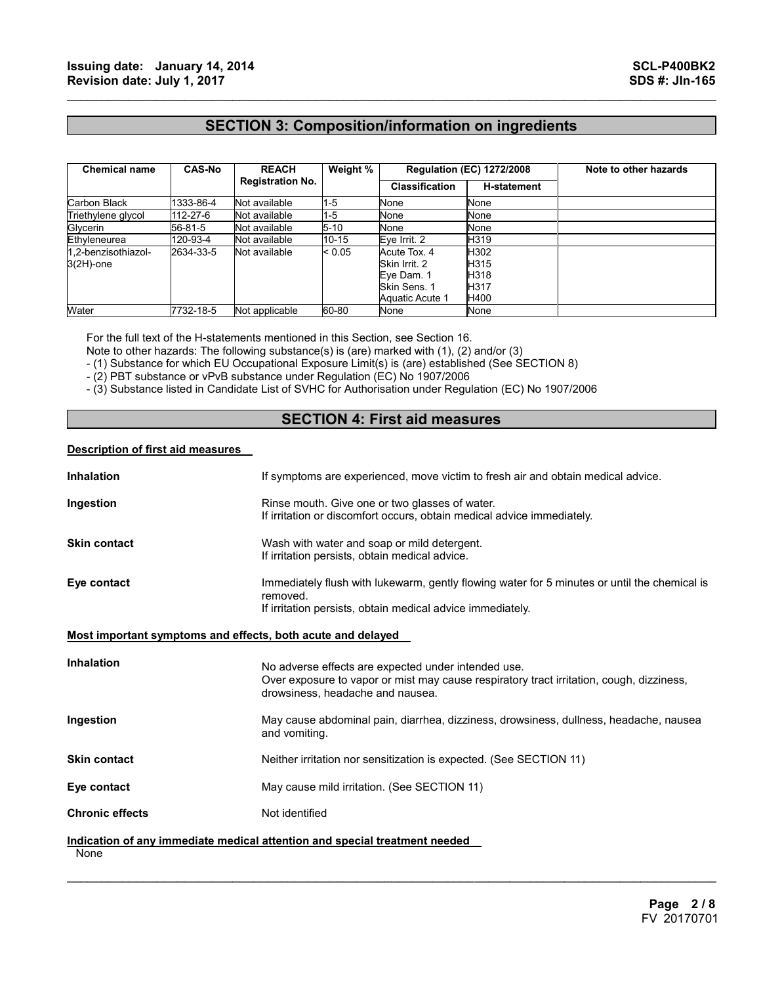# **SECTION 3: Composition/information on ingredients**

 $\mathcal{L}_\mathcal{L} = \{ \mathcal{L}_\mathcal{L} = \{ \mathcal{L}_\mathcal{L} = \{ \mathcal{L}_\mathcal{L} = \{ \mathcal{L}_\mathcal{L} = \{ \mathcal{L}_\mathcal{L} = \{ \mathcal{L}_\mathcal{L} = \{ \mathcal{L}_\mathcal{L} = \{ \mathcal{L}_\mathcal{L} = \{ \mathcal{L}_\mathcal{L} = \{ \mathcal{L}_\mathcal{L} = \{ \mathcal{L}_\mathcal{L} = \{ \mathcal{L}_\mathcal{L} = \{ \mathcal{L}_\mathcal{L} = \{ \mathcal{L}_\mathcal{$ 

| <b>Chemical name</b>                | <b>CAS-No</b> | <b>REACH</b><br><b>Registration No.</b> | Weight %  | <b>Regulation (EC) 1272/2008</b>                                               |                                      | Note to other hazards |
|-------------------------------------|---------------|-----------------------------------------|-----------|--------------------------------------------------------------------------------|--------------------------------------|-----------------------|
|                                     |               |                                         |           | <b>Classification</b>                                                          | <b>H-statement</b>                   |                       |
| Carbon Black                        | 1333-86-4     | Not available                           | $1 - 5$   | None                                                                           | None                                 |                       |
| Triethylene glycol                  | 112-27-6      | Not available                           | $1 - 5$   | None                                                                           | None                                 |                       |
| Glycerin                            | 56-81-5       | Not available                           | $5 - 10$  | None                                                                           | None                                 |                       |
| Ethyleneurea                        | 120-93-4      | Not available                           | $10 - 15$ | Eye Irrit. 2                                                                   | H319                                 |                       |
| 1.2-benzisothiazol-<br>$3(2H)$ -one | 2634-33-5     | Not available                           | < 0.05    | Acute Tox. 4<br>Skin Irrit, 2<br>Eye Dam. 1<br>Skin Sens, 1<br>Aquatic Acute 1 | H302<br>H315<br>H318<br>H317<br>H400 |                       |
| Water                               | 7732-18-5     | Not applicable                          | 60-80     | None                                                                           | None                                 |                       |

For the full text of the H-statements mentioned in this Section, see Section 16.

Note to other hazards: The following substance(s) is (are) marked with (1), (2) and/or (3)

- (1) Substance for which EU Occupational Exposure Limit(s) is (are) established (See SECTION 8)

- (2) PBT substance or vPvB substance under Regulation (EC) No 1907/2006

- (3) Substance listed in Candidate List of SVHC for Authorisation under Regulation (EC) No 1907/2006

# **SECTION 4: First aid measures**

### **Description of first aid measures**

| <b>Inhalation</b>                                           | If symptoms are experienced, move victim to fresh air and obtain medical advice.                                                                                                    |
|-------------------------------------------------------------|-------------------------------------------------------------------------------------------------------------------------------------------------------------------------------------|
| Ingestion                                                   | Rinse mouth. Give one or two glasses of water.<br>If irritation or discomfort occurs, obtain medical advice immediately.                                                            |
| <b>Skin contact</b>                                         | Wash with water and soap or mild detergent.<br>If irritation persists, obtain medical advice.                                                                                       |
| Eye contact                                                 | Immediately flush with lukewarm, gently flowing water for 5 minutes or until the chemical is<br>removed.<br>If irritation persists, obtain medical advice immediately.              |
| Most important symptoms and effects, both acute and delayed |                                                                                                                                                                                     |
| <b>Inhalation</b>                                           | No adverse effects are expected under intended use.<br>Over exposure to vapor or mist may cause respiratory tract irritation, cough, dizziness,<br>drowsiness, headache and nausea. |
| Ingestion                                                   | May cause abdominal pain, diarrhea, dizziness, drowsiness, dullness, headache, nausea<br>and vomiting.                                                                              |
| <b>Skin contact</b>                                         | Neither irritation nor sensitization is expected. (See SECTION 11)                                                                                                                  |
| Eye contact                                                 | May cause mild irritation. (See SECTION 11)                                                                                                                                         |
| <b>Chronic effects</b>                                      | Not identified                                                                                                                                                                      |
| None                                                        | Indication of any immediate medical attention and special treatment needed                                                                                                          |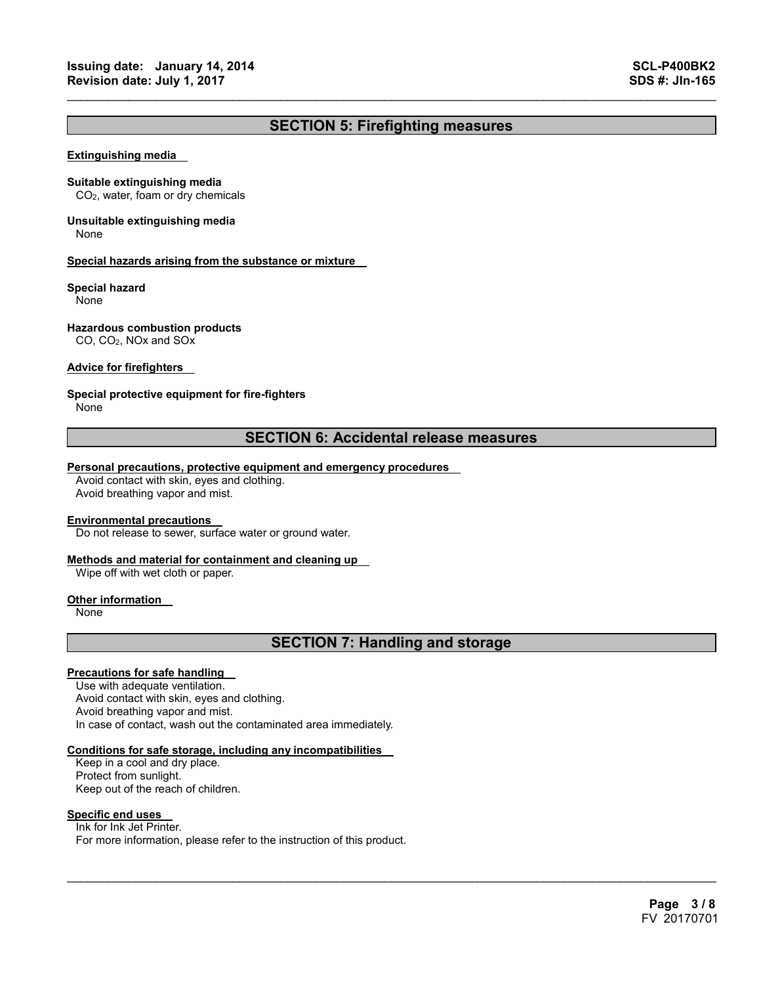# **SECTION 5: Firefighting measures**

 $\mathcal{L}_\mathcal{L} = \{ \mathcal{L}_\mathcal{L} = \{ \mathcal{L}_\mathcal{L} = \{ \mathcal{L}_\mathcal{L} = \{ \mathcal{L}_\mathcal{L} = \{ \mathcal{L}_\mathcal{L} = \{ \mathcal{L}_\mathcal{L} = \{ \mathcal{L}_\mathcal{L} = \{ \mathcal{L}_\mathcal{L} = \{ \mathcal{L}_\mathcal{L} = \{ \mathcal{L}_\mathcal{L} = \{ \mathcal{L}_\mathcal{L} = \{ \mathcal{L}_\mathcal{L} = \{ \mathcal{L}_\mathcal{L} = \{ \mathcal{L}_\mathcal{$ 

#### **Extinguishing media**

#### **Suitable extinguishing media**

CO2, water, foam or dry chemicals

# **Unsuitable extinguishing media**

None

#### **Special hazards arising from the substance or mixture**

#### **Special hazard**

None

### **Hazardous combustion products**

CO, CO2, NOx and SOx

### **Advice for firefighters**

### **Special protective equipment for fire-fighters**

None

# **SECTION 6: Accidental release measures**

### **Personal precautions, protective equipment and emergency procedures**

Avoid contact with skin, eyes and clothing. Avoid breathing vapor and mist.

#### **Environmental precautions**

Do not release to sewer, surface water or ground water.

### **Methods and material for containment and cleaning up**

Wipe off with wet cloth or paper.

#### **Other information**

None

# **SECTION 7: Handling and storage**

 $\mathcal{L}_\mathcal{L} = \mathcal{L}_\mathcal{L} = \mathcal{L}_\mathcal{L} = \mathcal{L}_\mathcal{L} = \mathcal{L}_\mathcal{L} = \mathcal{L}_\mathcal{L} = \mathcal{L}_\mathcal{L} = \mathcal{L}_\mathcal{L} = \mathcal{L}_\mathcal{L} = \mathcal{L}_\mathcal{L} = \mathcal{L}_\mathcal{L} = \mathcal{L}_\mathcal{L} = \mathcal{L}_\mathcal{L} = \mathcal{L}_\mathcal{L} = \mathcal{L}_\mathcal{L} = \mathcal{L}_\mathcal{L} = \mathcal{L}_\mathcal{L}$ 

### **Precautions for safe handling**

Use with adequate ventilation. Avoid contact with skin, eyes and clothing. Avoid breathing vapor and mist. In case of contact, wash out the contaminated area immediately.

#### **Conditions for safe storage, including any incompatibilities**

Keep in a cool and dry place. Protect from sunlight. Keep out of the reach of children.

### **Specific end uses**

Ink for Ink Jet Printer. For more information, please refer to the instruction of this product.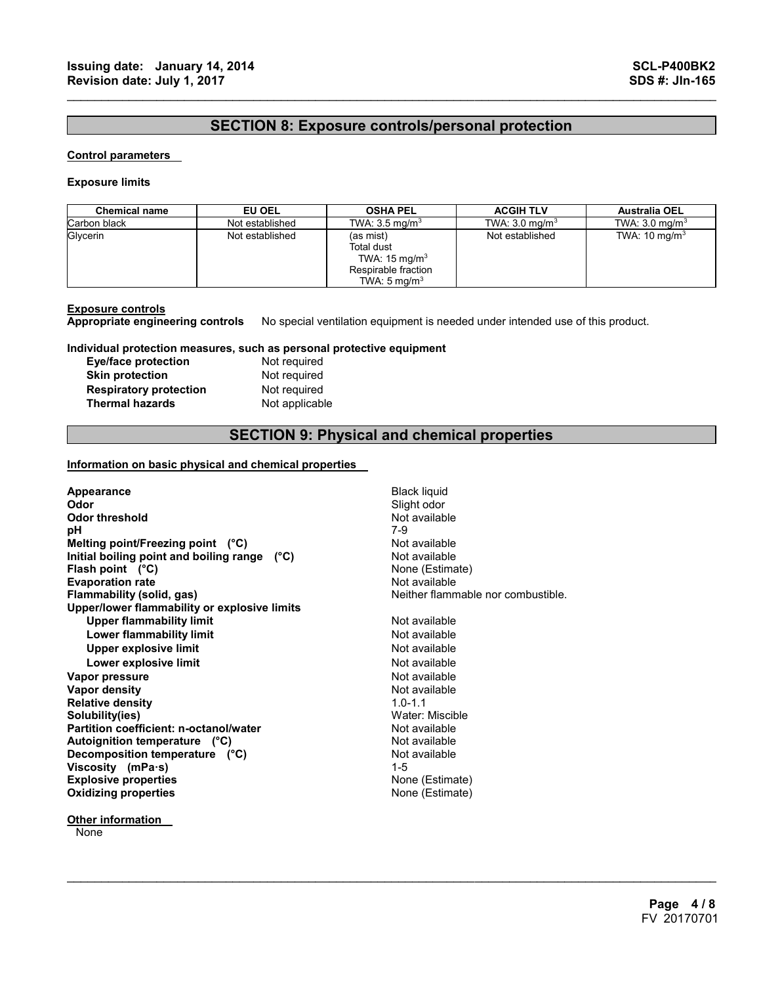# **SECTION 8: Exposure controls/personal protection**

 $\mathcal{L}_\mathcal{L} = \{ \mathcal{L}_\mathcal{L} = \{ \mathcal{L}_\mathcal{L} = \{ \mathcal{L}_\mathcal{L} = \{ \mathcal{L}_\mathcal{L} = \{ \mathcal{L}_\mathcal{L} = \{ \mathcal{L}_\mathcal{L} = \{ \mathcal{L}_\mathcal{L} = \{ \mathcal{L}_\mathcal{L} = \{ \mathcal{L}_\mathcal{L} = \{ \mathcal{L}_\mathcal{L} = \{ \mathcal{L}_\mathcal{L} = \{ \mathcal{L}_\mathcal{L} = \{ \mathcal{L}_\mathcal{L} = \{ \mathcal{L}_\mathcal{$ 

### **Control parameters**

### **Exposure limits**

| <b>Chemical name</b> | EU OEL          | <b>OSHA PEL</b>                                                                                              | <b>ACGIH TLV</b>          | <b>Australia OEL</b>      |
|----------------------|-----------------|--------------------------------------------------------------------------------------------------------------|---------------------------|---------------------------|
| Carbon black         | Not established | TWA: $3.5 \text{ mg/m}^3$                                                                                    | TWA: $3.0 \text{ mg/m}^3$ | TWA: $3.0 \text{ mg/m}^3$ |
| Glycerin             | Not established | (as mist)<br><b>Total dust</b><br>TWA: $15 \text{ mg/m}^3$<br>Respirable fraction<br>TWA: $5 \text{ mg/m}^3$ | Not established           | TWA: $10 \text{ mg/m}^3$  |

### **Exposure controls**

**Appropriate engineering controls** No special ventilation equipment is needed under intended use of this product.

**Individual protection measures, such as personal protective equipment Exercise** 

| <b>Eye/face protection</b>    | Not required   |
|-------------------------------|----------------|
| <b>Skin protection</b>        | Not required   |
| <b>Respiratory protection</b> | Not required   |
| <b>Thermal hazards</b>        | Not applicable |

# **SECTION 9: Physical and chemical properties**

 $\mathcal{L}_\mathcal{L} = \mathcal{L}_\mathcal{L} = \mathcal{L}_\mathcal{L} = \mathcal{L}_\mathcal{L} = \mathcal{L}_\mathcal{L} = \mathcal{L}_\mathcal{L} = \mathcal{L}_\mathcal{L} = \mathcal{L}_\mathcal{L} = \mathcal{L}_\mathcal{L} = \mathcal{L}_\mathcal{L} = \mathcal{L}_\mathcal{L} = \mathcal{L}_\mathcal{L} = \mathcal{L}_\mathcal{L} = \mathcal{L}_\mathcal{L} = \mathcal{L}_\mathcal{L} = \mathcal{L}_\mathcal{L} = \mathcal{L}_\mathcal{L}$ 

# **Information on basic physical and chemical properties**

| Appearance                                    | <b>Black liquid</b>                |
|-----------------------------------------------|------------------------------------|
| Odor                                          | Slight odor                        |
| <b>Odor threshold</b>                         | Not available                      |
| рH                                            | 7-9                                |
| Melting point/Freezing point (°C)             | Not available                      |
| Initial boiling point and boiling range (°C)  | Not available                      |
| Flash point $(^{\circ}C)$                     | None (Estimate)                    |
| <b>Evaporation rate</b>                       | Not available                      |
| Flammability (solid, gas)                     | Neither flammable nor combustible. |
| Upper/lower flammability or explosive limits  |                                    |
| <b>Upper flammability limit</b>               | Not available                      |
| Lower flammability limit                      | Not available                      |
| Upper explosive limit                         | Not available                      |
| Lower explosive limit                         | Not available                      |
| Vapor pressure                                | Not available                      |
| <b>Vapor density</b>                          | Not available                      |
| <b>Relative density</b>                       | $10 - 11$                          |
| Solubility(ies)                               | Water: Miscible                    |
| <b>Partition coefficient: n-octanol/water</b> | Not available                      |
| Autoignition temperature (°C)                 | Not available                      |
| Decomposition temperature (°C)                | Not available                      |
| Viscosity (mPa $\cdot$ s)                     | $1 - 5$                            |
| <b>Explosive properties</b>                   | None (Estimate)                    |
| <b>Oxidizing properties</b>                   | None (Estimate)                    |
|                                               |                                    |

**Other information** 

None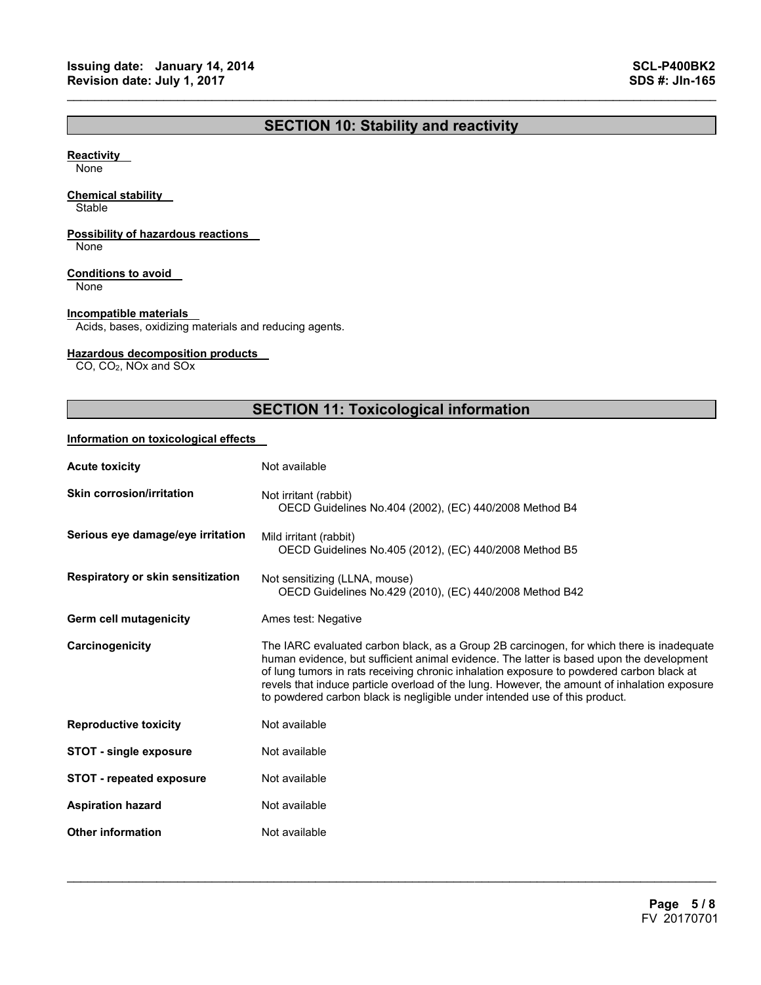# **SECTION 10: Stability and reactivity**

 $\mathcal{L}_\mathcal{L} = \{ \mathcal{L}_\mathcal{L} = \{ \mathcal{L}_\mathcal{L} = \{ \mathcal{L}_\mathcal{L} = \{ \mathcal{L}_\mathcal{L} = \{ \mathcal{L}_\mathcal{L} = \{ \mathcal{L}_\mathcal{L} = \{ \mathcal{L}_\mathcal{L} = \{ \mathcal{L}_\mathcal{L} = \{ \mathcal{L}_\mathcal{L} = \{ \mathcal{L}_\mathcal{L} = \{ \mathcal{L}_\mathcal{L} = \{ \mathcal{L}_\mathcal{L} = \{ \mathcal{L}_\mathcal{L} = \{ \mathcal{L}_\mathcal{$ 

### **Reactivity**

None

### **Chemical stability**

**Stable** 

# **Possibility of hazardous reactions**

None

### **Conditions to avoid**

None

### **Incompatible materials**

Acids, bases, oxidizing materials and reducing agents.

### **Hazardous decomposition products**

CO, CO2, NOx and SOx

# **SECTION 11: Toxicological information**

### **Information on toxicological effects**

| <b>Acute toxicity</b>             | Not available                                                                                                                                                                                                                                                                                                                                                                                                                                                  |
|-----------------------------------|----------------------------------------------------------------------------------------------------------------------------------------------------------------------------------------------------------------------------------------------------------------------------------------------------------------------------------------------------------------------------------------------------------------------------------------------------------------|
| <b>Skin corrosion/irritation</b>  | Not irritant (rabbit)<br>OECD Guidelines No.404 (2002), (EC) 440/2008 Method B4                                                                                                                                                                                                                                                                                                                                                                                |
| Serious eye damage/eye irritation | Mild irritant (rabbit)<br>OECD Guidelines No.405 (2012), (EC) 440/2008 Method B5                                                                                                                                                                                                                                                                                                                                                                               |
| Respiratory or skin sensitization | Not sensitizing (LLNA, mouse)<br>OECD Guidelines No.429 (2010), (EC) 440/2008 Method B42                                                                                                                                                                                                                                                                                                                                                                       |
| Germ cell mutagenicity            | Ames test: Negative                                                                                                                                                                                                                                                                                                                                                                                                                                            |
| Carcinogenicity                   | The IARC evaluated carbon black, as a Group 2B carcinogen, for which there is inadequate<br>human evidence, but sufficient animal evidence. The latter is based upon the development<br>of lung tumors in rats receiving chronic inhalation exposure to powdered carbon black at<br>revels that induce particle overload of the lung. However, the amount of inhalation exposure<br>to powdered carbon black is negligible under intended use of this product. |
| <b>Reproductive toxicity</b>      | Not available                                                                                                                                                                                                                                                                                                                                                                                                                                                  |
| <b>STOT - single exposure</b>     | Not available                                                                                                                                                                                                                                                                                                                                                                                                                                                  |
| <b>STOT - repeated exposure</b>   | Not available                                                                                                                                                                                                                                                                                                                                                                                                                                                  |
| <b>Aspiration hazard</b>          | Not available                                                                                                                                                                                                                                                                                                                                                                                                                                                  |
| <b>Other information</b>          | Not available                                                                                                                                                                                                                                                                                                                                                                                                                                                  |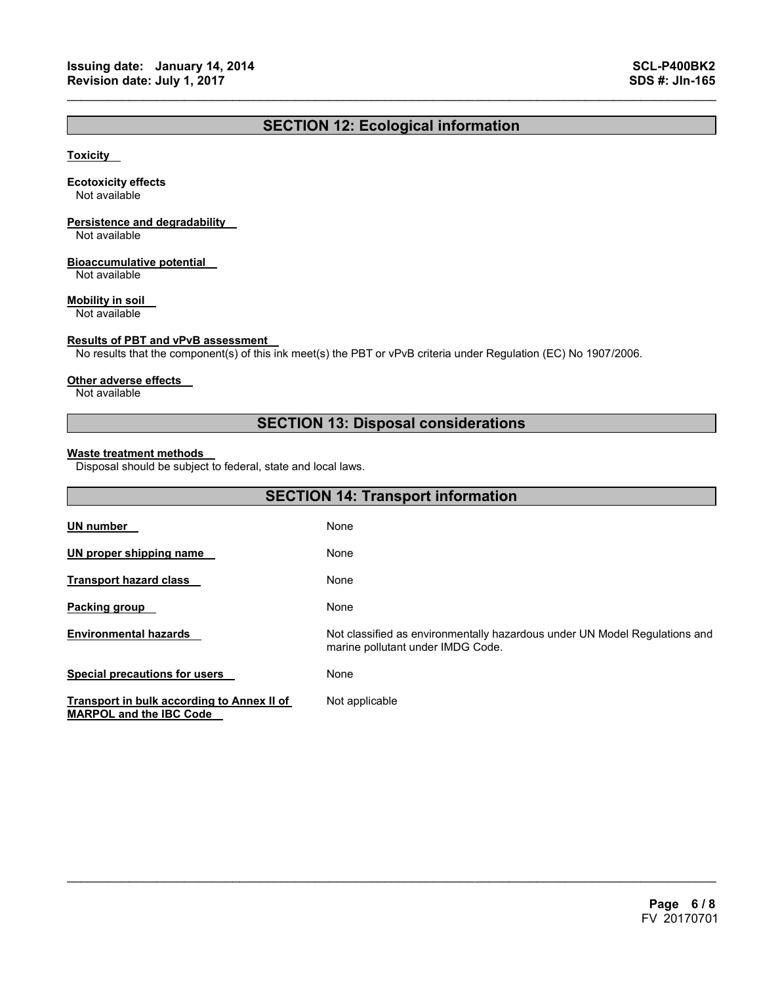# **SECTION 12: Ecological information**

 $\mathcal{L}_\mathcal{L} = \{ \mathcal{L}_\mathcal{L} = \{ \mathcal{L}_\mathcal{L} = \{ \mathcal{L}_\mathcal{L} = \{ \mathcal{L}_\mathcal{L} = \{ \mathcal{L}_\mathcal{L} = \{ \mathcal{L}_\mathcal{L} = \{ \mathcal{L}_\mathcal{L} = \{ \mathcal{L}_\mathcal{L} = \{ \mathcal{L}_\mathcal{L} = \{ \mathcal{L}_\mathcal{L} = \{ \mathcal{L}_\mathcal{L} = \{ \mathcal{L}_\mathcal{L} = \{ \mathcal{L}_\mathcal{L} = \{ \mathcal{L}_\mathcal{$ 

### **Toxicity**

### **Ecotoxicity effects**

Not available

# **Persistence and degradability**

Not available

### **Bioaccumulative potential**

Not available

### **Mobility in soil**

Not available

### **Results of PBT and vPvB assessment**

No results that the component(s) of this ink meet(s) the PBT or vPvB criteria under Regulation (EC) No 1907/2006.

### **Other adverse effects**

Not available

# **SECTION 13: Disposal considerations**

### **Waste treatment methods**

Disposal should be subject to federal, state and local laws.

| <b>SECTION 14: Transport information</b>                                     |                                                                                                                 |  |
|------------------------------------------------------------------------------|-----------------------------------------------------------------------------------------------------------------|--|
| <b>UN number</b>                                                             | None                                                                                                            |  |
| UN proper shipping name                                                      | None                                                                                                            |  |
| <b>Transport hazard class</b>                                                | None                                                                                                            |  |
| Packing group                                                                | None                                                                                                            |  |
| <b>Environmental hazards</b>                                                 | Not classified as environmentally hazardous under UN Model Regulations and<br>marine pollutant under IMDG Code. |  |
| <b>Special precautions for users</b>                                         | None                                                                                                            |  |
| Transport in bulk according to Annex II of<br><b>MARPOL and the IBC Code</b> | Not applicable                                                                                                  |  |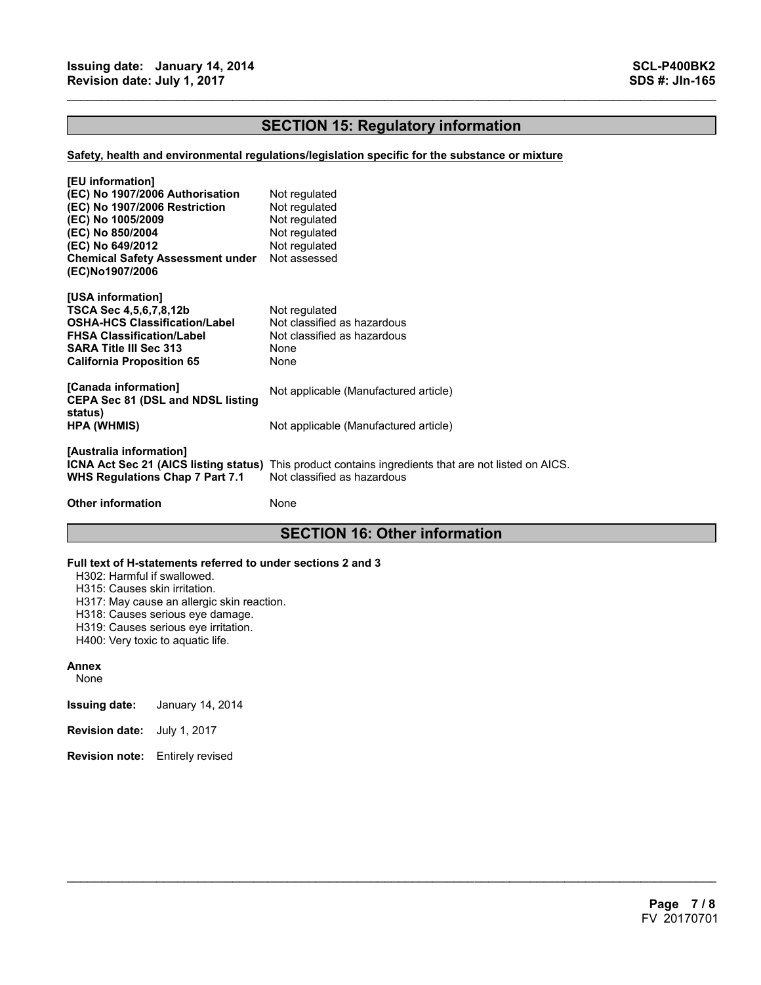# **SECTION 15: Regulatory information**

 $\mathcal{L}_\mathcal{L} = \{ \mathcal{L}_\mathcal{L} = \{ \mathcal{L}_\mathcal{L} = \{ \mathcal{L}_\mathcal{L} = \{ \mathcal{L}_\mathcal{L} = \{ \mathcal{L}_\mathcal{L} = \{ \mathcal{L}_\mathcal{L} = \{ \mathcal{L}_\mathcal{L} = \{ \mathcal{L}_\mathcal{L} = \{ \mathcal{L}_\mathcal{L} = \{ \mathcal{L}_\mathcal{L} = \{ \mathcal{L}_\mathcal{L} = \{ \mathcal{L}_\mathcal{L} = \{ \mathcal{L}_\mathcal{L} = \{ \mathcal{L}_\mathcal{$ 

### **Safety, health and environmental regulations/legislation specific for the substance or mixture**

| [EU information]<br>(EC) No 1907/2006 Authorisation<br>(EC) No 1907/2006 Restriction<br>(EC) No 1005/2009<br>(EC) No 850/2004<br>(EC) No 649/2012<br><b>Chemical Safety Assessment under</b><br>(EC)No1907/2006 | Not regulated<br>Not regulated<br>Not regulated<br>Not regulated<br>Not regulated<br>Not assessed                                          |
|-----------------------------------------------------------------------------------------------------------------------------------------------------------------------------------------------------------------|--------------------------------------------------------------------------------------------------------------------------------------------|
| [USA information]<br>TSCA Sec 4,5,6,7,8,12b<br>OSHA-HCS Classification/Label<br><b>FHSA Classification/Label</b><br>SARA Title III Sec 313<br>California Proposition 65                                         | Not regulated<br>Not classified as hazardous<br>Not classified as hazardous<br>None<br>None                                                |
| [Canada information]<br><b>CEPA Sec 81 (DSL and NDSL listing</b>                                                                                                                                                | Not applicable (Manufactured article)                                                                                                      |
| status)<br>HPA (WHMIS)                                                                                                                                                                                          | Not applicable (Manufactured article)                                                                                                      |
| [Australia information]<br><b>WHS Regulations Chap 7 Part 7.1</b>                                                                                                                                               | <b>ICNA Act Sec 21 (AICS listing status)</b> This product contains ingredients that are not listed on AICS.<br>Not classified as hazardous |
| <b>Other information</b>                                                                                                                                                                                        | None                                                                                                                                       |

# **SECTION 16: Other information**

 $\mathcal{L}_\mathcal{L} = \mathcal{L}_\mathcal{L} = \mathcal{L}_\mathcal{L} = \mathcal{L}_\mathcal{L} = \mathcal{L}_\mathcal{L} = \mathcal{L}_\mathcal{L} = \mathcal{L}_\mathcal{L} = \mathcal{L}_\mathcal{L} = \mathcal{L}_\mathcal{L} = \mathcal{L}_\mathcal{L} = \mathcal{L}_\mathcal{L} = \mathcal{L}_\mathcal{L} = \mathcal{L}_\mathcal{L} = \mathcal{L}_\mathcal{L} = \mathcal{L}_\mathcal{L} = \mathcal{L}_\mathcal{L} = \mathcal{L}_\mathcal{L}$ 

### **Full text of H-statements referred to under sections 2 and 3**

H302: Harmful if swallowed.

H315: Causes skin irritation.

H317: May cause an allergic skin reaction.

H318: Causes serious eye damage.

H319: Causes serious eye irritation.

H400: Very toxic to aquatic life.

### **Annex**

None

**Issuing date:** January 14, 2014

- **Revision date:** July 1, 2017
- **Revision note:** Entirely revised